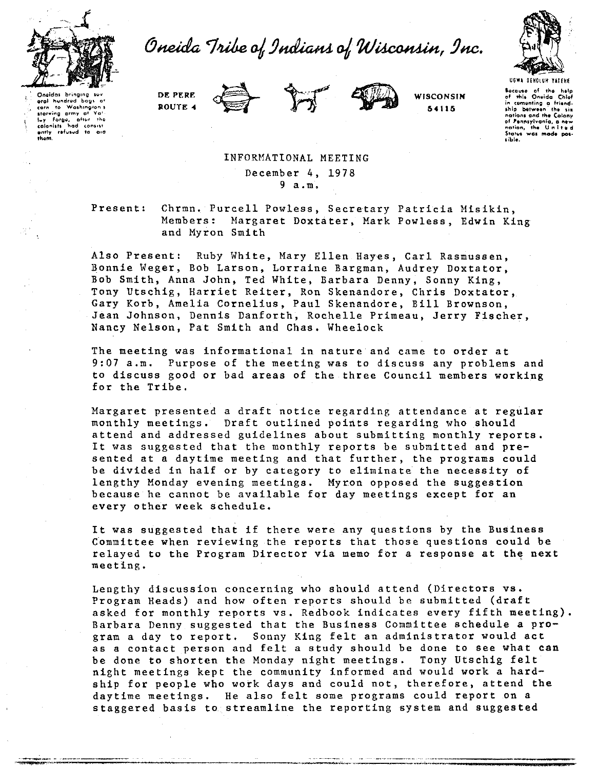

Oneida Tribe of Indians of Wisconsin, Inc.



Opeidas brinc aral hundred boas a corn to Washington t corn to <del>reasure</del>sive a<br>starving army at Yall<br>Tuy Forge, after the we may army at Yallowsking and the the<br>colonists had consist<br>antly refused to aid<br>them.

Æ,

DE PERE ROUTE 4





WISCONSIN 54115

secause of the help<br>of this Oneida Chief n comenting a friendship between the six sing perween me six<br>not bennsylvania, a new<br>notion, the United<br>States was made possible.

## INFORMATIONAL MEETING December 4, 1978  $9a.m.$

Present:

Chrmn. Purcell Powless, Secretary Patricia Misikin. Members: Margaret Doxtater, Mark Powless, Edwin King and Myron Smith

Ruby White, Mary Ellen Haves, Carl Rasmussen. Also Present: Bonnie Weger, Bob Larson, Lorraine Bargman, Audrey Doxtator, Bob Smith, Anna John, Ted White, Barbara Denny, Sonny King, Tony Utschig, Harriet Reiter, Ron Skenandore, Chris Doxtator, Gary Korb, Amelia Cornelius, Paul Skenandore, Bill Brownson, Jean Johnson, Dennis Danforth, Rochelle Primeau, Jerry Fischer. Nancy Nelson, Pat Smith and Chas. Wheelock

The meeting was informational in nature and came to order at 9:07 a.m. Purpose of the meeting was to discuss any problems and to discuss good or bad areas of the three Council members working for the Tribe.

Margaret presented a draft notice regarding attendance at regular monthly meetings. Draft outlined points regarding who should attend and addressed guidelines about submitting monthly reports. It was suggested that the monthly reports be submitted and presented at a daytime meeting and that further, the programs could be divided in half or by category to eliminate the necessity of lengthy Monday evening meetings. Myron opposed the suggestion because he cannot be available for day meetings except for an every other week schedule.

It was suggested that if there were any questions by the Business Committee when reviewing the reports that those questions could be relayed to the Program Director via memo for a response at the next meeting.

Lengthy discussion concerning who should attend (Directors vs. Program Heads) and how often reports should be submitted (draft asked for monthly reports vs. Redbook indicates every fifth meeting). Barbara Denny suggested that the Business Committee schedule a program a day to report. Sonny King felt an administrator would act as a contact person and felt a study should be done to see what can be done to shorten the Monday night meetings. Tony Utschig felt night meetings kept the community informed and would work a hardship for people who work days and could not, therefore, attend the daytime meetings. He also felt some programs could report on a staggered basis to streamline the reporting system and suggested